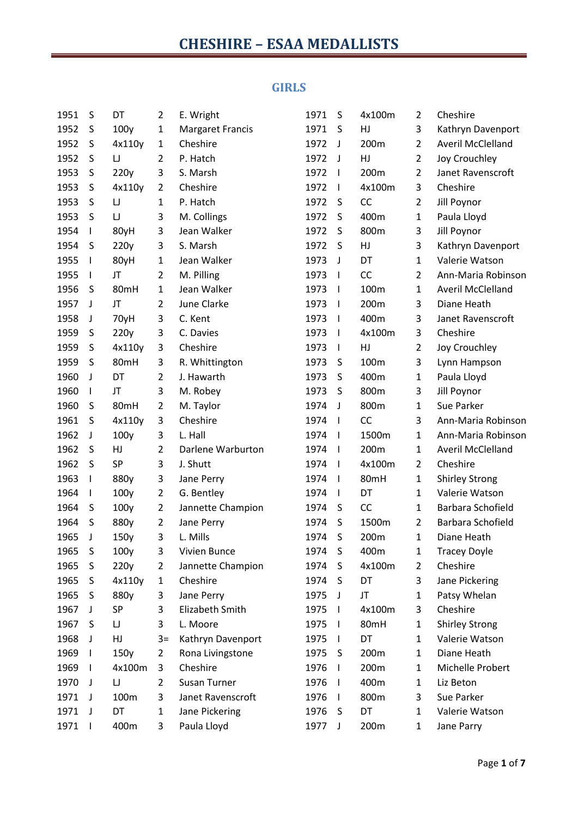#### **GIRLS**

| 1951 | S            | DT                                     | 2              | E. Wright               | 1971 | S            | 4x100m | 2              | Cheshire                 |
|------|--------------|----------------------------------------|----------------|-------------------------|------|--------------|--------|----------------|--------------------------|
| 1952 | S            | 100y                                   | $\mathbf{1}$   | <b>Margaret Francis</b> | 1971 | S            | HJ     | 3              | Kathryn Davenport        |
| 1952 | S            | 4x110y                                 | $\mathbf{1}$   | Cheshire                | 1972 | J            | 200m   | $\overline{2}$ | <b>Averil McClelland</b> |
| 1952 | S            | $\begin{array}{c} \square \end{array}$ | $\overline{2}$ | P. Hatch                | 1972 | J            | HJ     | $\overline{2}$ | Joy Crouchley            |
| 1953 | S            | 220y                                   | 3              | S. Marsh                | 1972 | $\mathsf{I}$ | 200m   | $\overline{2}$ | Janet Ravenscroft        |
| 1953 | S            | 4x110y                                 | $\overline{2}$ | Cheshire                | 1972 | $\mathsf{I}$ | 4x100m | 3              | Cheshire                 |
| 1953 | S            | $\sqcup$                               | 1              | P. Hatch                | 1972 | S            | CC     | $\overline{2}$ | Jill Poynor              |
| 1953 | S            | $\begin{array}{c} \square \end{array}$ | 3              | M. Collings             | 1972 | S            | 400m   | $\mathbf{1}$   | Paula Lloyd              |
| 1954 | I            | 80yH                                   | 3              | Jean Walker             | 1972 | S            | 800m   | 3              | Jill Poynor              |
| 1954 | S            | 220y                                   | 3              | S. Marsh                | 1972 | S            | HJ     | 3              | Kathryn Davenport        |
| 1955 | I            | 80yH                                   | $\mathbf{1}$   | Jean Walker             | 1973 | J            | DT     | $\mathbf{1}$   | Valerie Watson           |
| 1955 | I            | JT                                     | $\overline{2}$ | M. Pilling              | 1973 | $\mathbf{I}$ | CC     | $\overline{2}$ | Ann-Maria Robinson       |
| 1956 | S            | 80mH                                   | $\mathbf{1}$   | Jean Walker             | 1973 | $\mathbf{I}$ | 100m   | $\mathbf{1}$   | <b>Averil McClelland</b> |
| 1957 | J            | JT                                     | $\overline{2}$ | June Clarke             | 1973 | $\mathbf{I}$ | 200m   | 3              | Diane Heath              |
| 1958 | J            | 70yH                                   | 3              | C. Kent                 | 1973 | $\mathbf{I}$ | 400m   | 3              | Janet Ravenscroft        |
| 1959 | S            | 220y                                   | 3              | C. Davies               | 1973 | $\mathbf{I}$ | 4x100m | 3              | Cheshire                 |
| 1959 | S            | 4x110y                                 | 3              | Cheshire                | 1973 | $\mathsf{I}$ | HJ     | $\overline{2}$ | Joy Crouchley            |
| 1959 | S            | 80mH                                   | 3              | R. Whittington          | 1973 | S            | 100m   | 3              | Lynn Hampson             |
| 1960 | J            | DT                                     | 2              | J. Hawarth              | 1973 | S            | 400m   | $\mathbf{1}$   | Paula Lloyd              |
| 1960 | I            | JT                                     | 3              | M. Robey                | 1973 | S            | 800m   | 3              | Jill Poynor              |
| 1960 | S            | 80mH                                   | 2              | M. Taylor               | 1974 | J            | 800m   | $\mathbf{1}$   | Sue Parker               |
| 1961 | S            | 4x110y                                 | 3              | Cheshire                | 1974 | $\mathbf{I}$ | CC     | 3              | Ann-Maria Robinson       |
| 1962 | J            | 100y                                   | 3              | L. Hall                 | 1974 | $\mathbf{I}$ | 1500m  | $\mathbf{1}$   | Ann-Maria Robinson       |
| 1962 | S            | HJ                                     | $\overline{2}$ | Darlene Warburton       | 1974 | $\mathbf{I}$ | 200m   | $\mathbf{1}$   | <b>Averil McClelland</b> |
| 1962 | S            | SP                                     | 3              | J. Shutt                | 1974 | $\mathbf{I}$ | 4x100m | $\overline{2}$ | Cheshire                 |
| 1963 | I            | 880y                                   | 3              | Jane Perry              | 1974 | $\mathbf{I}$ | 80mH   | $\mathbf{1}$   | <b>Shirley Strong</b>    |
| 1964 | I            | 100y                                   | 2              | G. Bentley              | 1974 | $\mathbf{I}$ | DT     | $\mathbf{1}$   | Valerie Watson           |
| 1964 | S            | 100y                                   | $\overline{2}$ | Jannette Champion       | 1974 | S            | CC     | 1              | Barbara Schofield        |
| 1964 | S            | 880y                                   | 2              | Jane Perry              | 1974 | S            | 1500m  | $\overline{2}$ | Barbara Schofield        |
| 1965 | J            | 150y                                   | 3              | L. Mills                | 1974 | S            | 200m   | 1              | Diane Heath              |
| 1965 | S            | 100y                                   | 3              | Vivien Bunce            | 1974 | S            | 400m   | 1              | <b>Tracey Doyle</b>      |
| 1965 | S            | 220y                                   | $\overline{2}$ | Jannette Champion       | 1974 | S            | 4x100m | 2              | Cheshire                 |
| 1965 | S            | 4x110y                                 | 1              | Cheshire                | 1974 | S            | DT     | 3              | Jane Pickering           |
| 1965 | S            | 880y                                   | 3              | Jane Perry              | 1975 | J            | JT     | 1              | Patsy Whelan             |
| 1967 | J            | SP                                     | 3              | Elizabeth Smith         | 1975 | $\mathbf{I}$ | 4x100m | 3              | Cheshire                 |
| 1967 | S            | $\sqcup$                               | 3              | L. Moore                | 1975 | $\mathbf{I}$ | 80mH   | $\mathbf{1}$   | <b>Shirley Strong</b>    |
| 1968 | J            | HJ                                     | $3=$           | Kathryn Davenport       | 1975 | $\mathbf{I}$ | DT     | $\mathbf{1}$   | Valerie Watson           |
| 1969 | I            | 150y                                   | $\overline{2}$ | Rona Livingstone        | 1975 | S            | 200m   | 1              | Diane Heath              |
| 1969 | $\mathbf{I}$ | 4x100m                                 | 3              | Cheshire                | 1976 | $\mathbf{I}$ | 200m   | $\mathbf{1}$   | Michelle Probert         |
| 1970 | J            | $\sqcup$                               | $\overline{2}$ | Susan Turner            | 1976 | $\mathbf{I}$ | 400m   | $\mathbf{1}$   | Liz Beton                |
| 1971 | J            | 100m                                   | 3              | Janet Ravenscroft       | 1976 | $\mathbf{I}$ | 800m   | 3              | Sue Parker               |
| 1971 | J            | DT                                     | $\mathbf{1}$   | Jane Pickering          | 1976 | S            | DT     | $\mathbf{1}$   | Valerie Watson           |
| 1971 | I            | 400m                                   | 3              | Paula Lloyd             | 1977 | J            | 200m   | 1              | Jane Parry               |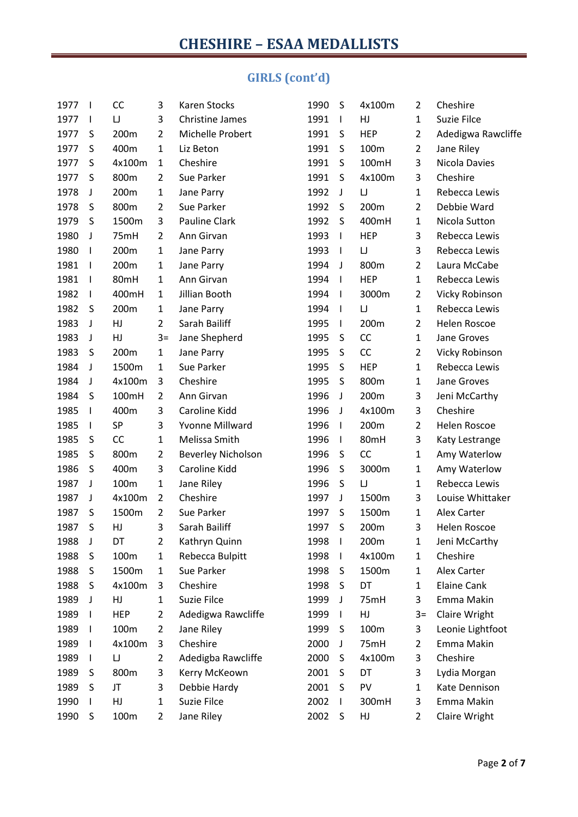### **GIRLS (cont'd)**

| 1977 | $\mathbf{I}$             | CC         | 3              | Karen Stocks              | 1990 | S                        | 4x100m     | $\overline{2}$ | Cheshire              |
|------|--------------------------|------------|----------------|---------------------------|------|--------------------------|------------|----------------|-----------------------|
| 1977 | $\mathbf{I}$             | $\sqcup$   | 3              | <b>Christine James</b>    | 1991 | $\mathbf{I}$             | HJ         | $\mathbf{1}$   | Suzie Filce           |
| 1977 | S                        | 200m       | $\overline{2}$ | Michelle Probert          | 1991 | S                        | <b>HEP</b> | $\overline{2}$ | Adedigwa Rawcliffe    |
| 1977 | S                        | 400m       | $\mathbf{1}$   | Liz Beton                 | 1991 | S                        | 100m       | $\overline{2}$ | Jane Riley            |
| 1977 | S                        | 4x100m     | $\mathbf{1}$   | Cheshire                  | 1991 | S                        | 100mH      | 3              | Nicola Davies         |
| 1977 | S                        | 800m       | $\overline{2}$ | Sue Parker                | 1991 | S                        | 4x100m     | 3              | Cheshire              |
| 1978 | J                        | 200m       | $\mathbf{1}$   | Jane Parry                | 1992 | J                        | $\sqcup$   | $\mathbf{1}$   | Rebecca Lewis         |
| 1978 | S                        | 800m       | $\overline{2}$ | Sue Parker                | 1992 | S                        | 200m       | $\overline{2}$ | Debbie Ward           |
| 1979 | S                        | 1500m      | 3              | Pauline Clark             | 1992 | S                        | 400mH      | $\mathbf 1$    | Nicola Sutton         |
| 1980 | J                        | 75mH       | 2              | Ann Girvan                | 1993 | $\mathbf{I}$             | <b>HEP</b> | 3              | Rebecca Lewis         |
| 1980 | $\mathbf{I}$             | 200m       | $\mathbf{1}$   | Jane Parry                | 1993 | $\overline{1}$           | $\cup$     | 3              | Rebecca Lewis         |
| 1981 | $\mathbf{I}$             | 200m       | $\mathbf{1}$   | Jane Parry                | 1994 | J                        | 800m       | $\overline{2}$ | Laura McCabe          |
| 1981 | $\overline{\phantom{a}}$ | 80mH       | $\mathbf{1}$   | Ann Girvan                | 1994 | $\blacksquare$           | <b>HEP</b> | $\mathbf{1}$   | Rebecca Lewis         |
| 1982 | $\mathbf{I}$             | 400mH      | $\mathbf{1}$   | Jillian Booth             | 1994 | $\mathbf{I}$             | 3000m      | $\overline{2}$ | <b>Vicky Robinson</b> |
| 1982 | S                        | 200m       | $\mathbf{1}$   | Jane Parry                | 1994 | $\overline{\phantom{a}}$ | $\sqcup$   | $\mathbf{1}$   | Rebecca Lewis         |
| 1983 | J                        | HJ         | $\overline{2}$ | Sarah Bailiff             | 1995 | $\mathbf{I}$             | 200m       | $\overline{2}$ | Helen Roscoe          |
| 1983 | J                        | HJ         | $3=$           | Jane Shepherd             | 1995 | S                        | CC         | $\mathbf{1}$   | Jane Groves           |
| 1983 | S                        | 200m       | $\mathbf{1}$   | Jane Parry                | 1995 | S                        | CC         | $\overline{2}$ | Vicky Robinson        |
| 1984 | J                        | 1500m      | $\mathbf{1}$   | Sue Parker                | 1995 | S                        | <b>HEP</b> | $\mathbf{1}$   | Rebecca Lewis         |
| 1984 | J                        | 4x100m     | 3              | Cheshire                  | 1995 | S                        | 800m       | $\mathbf{1}$   | Jane Groves           |
| 1984 | S                        | 100mH      | $\overline{2}$ | Ann Girvan                | 1996 | J                        | 200m       | 3              | Jeni McCarthy         |
| 1985 | $\mathbf{I}$             | 400m       | 3              | Caroline Kidd             | 1996 | J                        | 4x100m     | 3              | Cheshire              |
| 1985 | $\mathbf{I}$             | SP         | 3              | <b>Yvonne Millward</b>    | 1996 | $\mathbf{I}$             | 200m       | $\overline{2}$ | Helen Roscoe          |
| 1985 | S                        | CC         | $\mathbf{1}$   | Melissa Smith             | 1996 | $\mathbf{I}$             | 80mH       | 3              | Katy Lestrange        |
| 1985 | S                        | 800m       | $\overline{2}$ | <b>Beverley Nicholson</b> | 1996 | S                        | CC         | $\mathbf 1$    | Amy Waterlow          |
| 1986 | S                        | 400m       | 3              | Caroline Kidd             | 1996 | S                        | 3000m      | $\mathbf 1$    | Amy Waterlow          |
| 1987 | J                        | 100m       | $\mathbf{1}$   | Jane Riley                | 1996 | S                        | $\cup$     | $\mathbf 1$    | Rebecca Lewis         |
| 1987 | J                        | 4x100m     | $\overline{2}$ | Cheshire                  | 1997 | J                        | 1500m      | 3              | Louise Whittaker      |
| 1987 | S                        | 1500m      | $\overline{2}$ | Sue Parker                | 1997 | S                        | 1500m      | $\mathbf{1}$   | Alex Carter           |
| 1987 | S                        | HJ         | 3              | Sarah Bailiff             | 1997 | S                        | 200m       | 3              | Helen Roscoe          |
| 1988 | J                        | DT         | $\overline{2}$ | Kathryn Quinn             | 1998 | - 1                      | 200m       | $\mathbf{1}$   | Jeni McCarthy         |
| 1988 | S                        | 100m       | 1              | Rebecca Bulpitt           | 1998 | $\mathbf{I}$             | 4x100m     | 1              | Cheshire              |
| 1988 | S                        | 1500m      | 1              | Sue Parker                | 1998 | S                        | 1500m      | 1              | Alex Carter           |
| 1988 | S                        | 4x100m     | 3              | Cheshire                  | 1998 | S                        | DT         | 1              | Elaine Cank           |
| 1989 | J                        | HJ         | 1              | Suzie Filce               | 1999 | J                        | 75mH       | 3              | Emma Makin            |
| 1989 |                          | <b>HEP</b> | 2              | Adedigwa Rawcliffe        | 1999 | $\mathbf{I}$             | HJ         | $3=$           | Claire Wright         |
| 1989 | $\mathbf{I}$             | 100m       | 2              | Jane Riley                | 1999 | S                        | 100m       | 3              | Leonie Lightfoot      |
| 1989 |                          | 4x100m     | 3              | Cheshire                  | 2000 | J                        | 75mH       | $\overline{2}$ | Emma Makin            |
| 1989 | I.                       | IJ         | $\overline{2}$ | Adedigba Rawcliffe        | 2000 | S                        | 4x100m     | 3              | Cheshire              |
| 1989 | S                        | 800m       | 3              | Kerry McKeown             | 2001 | S                        | DT         | 3              | Lydia Morgan          |
| 1989 | S                        | JT         | 3              | Debbie Hardy              | 2001 | S                        | PV         | 1              | Kate Dennison         |
| 1990 |                          | HJ         | 1              | Suzie Filce               | 2002 | $\mathbf{I}$             | 300mH      | 3              | Emma Makin            |
| 1990 | S                        | 100m       | $\overline{2}$ | Jane Riley                | 2002 | $\sf S$                  | HJ         | $\overline{2}$ | Claire Wright         |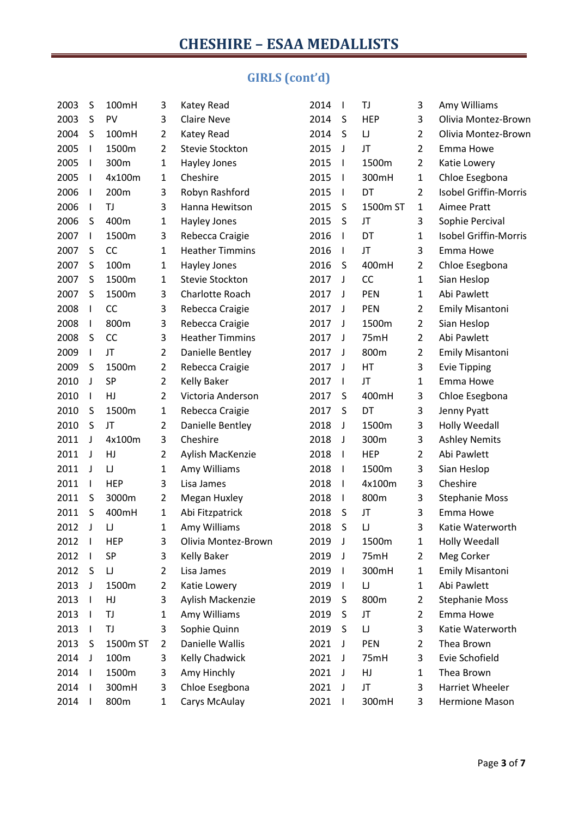### **GIRLS (cont'd)**

| 2003 | S            | 100mH      | 3              | Katey Read             | 2014 | $\mathbf{I}$ | TJ         | 3              | Amy Williams                 |
|------|--------------|------------|----------------|------------------------|------|--------------|------------|----------------|------------------------------|
| 2003 | S            | PV         | 3              | <b>Claire Neve</b>     | 2014 | S            | <b>HEP</b> | 3              | Olivia Montez-Brown          |
| 2004 | S            | 100mH      | $\overline{2}$ | Katey Read             | 2014 | S            | $\cup$     | $\overline{2}$ | Olivia Montez-Brown          |
| 2005 | I            | 1500m      | $\overline{2}$ | <b>Stevie Stockton</b> | 2015 | J            | JT         | $\overline{2}$ | Emma Howe                    |
| 2005 | I            | 300m       | 1              | Hayley Jones           | 2015 | $\mathbf{I}$ | 1500m      | $\overline{2}$ | Katie Lowery                 |
| 2005 | ı            | 4x100m     | 1              | Cheshire               | 2015 | $\mathsf{I}$ | 300mH      | $\mathbf{1}$   | Chloe Esegbona               |
| 2006 | I            | 200m       | 3              | Robyn Rashford         | 2015 | $\mathsf{I}$ | DT         | $\overline{2}$ | <b>Isobel Griffin-Morris</b> |
| 2006 | ı            | TJ         | 3              | Hanna Hewitson         | 2015 | S            | 1500m ST   | $\mathbf{1}$   | Aimee Pratt                  |
| 2006 | S            | 400m       | 1              | Hayley Jones           | 2015 | S            | JT         | 3              | Sophie Percival              |
| 2007 | I            | 1500m      | 3              | Rebecca Craigie        | 2016 | $\mathsf{I}$ | DT         | $\mathbf{1}$   | <b>Isobel Griffin-Morris</b> |
| 2007 | S            | CC         | 1              | <b>Heather Timmins</b> | 2016 | $\mathsf{I}$ | JT         | 3              | Emma Howe                    |
| 2007 | S            | 100m       | 1              | Hayley Jones           | 2016 | S            | 400mH      | $\overline{2}$ | Chloe Esegbona               |
| 2007 | S            | 1500m      | 1              | Stevie Stockton        | 2017 | J            | CC         | $\mathbf{1}$   | Sian Heslop                  |
| 2007 | S            | 1500m      | 3              | Charlotte Roach        | 2017 | J            | PEN        | $\mathbf{1}$   | Abi Pawlett                  |
| 2008 | I            | CC         | 3              | Rebecca Craigie        | 2017 | J            | PEN        | $\overline{2}$ | <b>Emily Misantoni</b>       |
| 2008 |              | 800m       | 3              | Rebecca Craigie        | 2017 | J            | 1500m      | $\overline{2}$ | Sian Heslop                  |
| 2008 | S            | <b>CC</b>  | 3              | <b>Heather Timmins</b> | 2017 | J            | 75mH       | $\overline{2}$ | Abi Pawlett                  |
| 2009 | I            | JT         | $\overline{2}$ | Danielle Bentley       | 2017 | J            | 800m       | $\overline{2}$ | <b>Emily Misantoni</b>       |
| 2009 | S            | 1500m      | $\overline{2}$ | Rebecca Craigie        | 2017 | J            | HT         | 3              | <b>Evie Tipping</b>          |
| 2010 | J            | <b>SP</b>  | $\overline{2}$ | <b>Kelly Baker</b>     | 2017 | $\mathsf{I}$ | JT         | $\mathbf{1}$   | Emma Howe                    |
| 2010 | I            | HJ         | $\overline{2}$ | Victoria Anderson      | 2017 | S            | 400mH      | 3              | Chloe Esegbona               |
| 2010 | S            | 1500m      | 1              | Rebecca Craigie        | 2017 | S            | DT         | 3              | Jenny Pyatt                  |
| 2010 | S            | JT         | $\overline{2}$ | Danielle Bentley       | 2018 | J            | 1500m      | 3              | <b>Holly Weedall</b>         |
| 2011 | J            | 4x100m     | 3              | Cheshire               | 2018 | J            | 300m       | 3              | <b>Ashley Nemits</b>         |
| 2011 | J            | HJ         | $\overline{2}$ | Aylish MacKenzie       | 2018 | $\mathbf{I}$ | <b>HEP</b> | $\overline{2}$ | Abi Pawlett                  |
| 2011 | J            | IJ         | 1              | Amy Williams           | 2018 | $\mathsf{I}$ | 1500m      | 3              | Sian Heslop                  |
| 2011 | I            | <b>HEP</b> | 3              | Lisa James             | 2018 | $\mathbf{I}$ | 4x100m     | 3              | Cheshire                     |
| 2011 | S            | 3000m      | $\overline{2}$ | Megan Huxley           | 2018 | $\mathsf{I}$ | 800m       | 3              | <b>Stephanie Moss</b>        |
| 2011 | S            | 400mH      | 1              | Abi Fitzpatrick        | 2018 | S            | JT         | 3              | Emma Howe                    |
| 2012 | J            | IJ         | 1              | Amy Williams           | 2018 | S            | IJ         | 3              | Katie Waterworth             |
| 2012 | $\mathbf{I}$ | HEP        | 3              | Olivia Montez-Brown    | 2019 | J            | 1500m      | $\mathbf{1}$   | <b>Holly Weedall</b>         |
| 2012 |              | SP         | 3              | Kelly Baker            | 2019 | J            | 75mH       | $\overline{2}$ | Meg Corker                   |
| 2012 | S            | IJ         | $\overline{2}$ | Lisa James             | 2019 | $\mathbf{I}$ | 300mH      | $\mathbf{1}$   | <b>Emily Misantoni</b>       |
| 2013 | J            | 1500m      | 2              | Katie Lowery           | 2019 | $\mathbf{I}$ | IJ         | $\mathbf{1}$   | Abi Pawlett                  |
| 2013 | I            | HJ         | 3              | Aylish Mackenzie       | 2019 | S            | 800m       | $\overline{2}$ | <b>Stephanie Moss</b>        |
| 2013 |              | TJ         | 1              | Amy Williams           | 2019 | S            | JT         | $\overline{2}$ | Emma Howe                    |
| 2013 | I.           | TJ         | 3              | Sophie Quinn           | 2019 | S            | IJ         | 3              | Katie Waterworth             |
| 2013 | S            | 1500m ST   | 2              | Danielle Wallis        | 2021 | J            | <b>PEN</b> | $\overline{2}$ | Thea Brown                   |
| 2014 | J            | 100m       | 3              | Kelly Chadwick         | 2021 | J            | 75mH       | 3              | Evie Schofield               |
| 2014 | ı            | 1500m      | 3              | Amy Hinchly            | 2021 | J            | HJ         | $\mathbf{1}$   | Thea Brown                   |
| 2014 | I.           | 300mH      | 3              | Chloe Esegbona         | 2021 | J            | JT         | 3              | Harriet Wheeler              |
| 2014 |              | 800m       | 1              | Carys McAulay          | 2021 | $\mathbf{I}$ | 300mH      | 3              | Hermione Mason               |
|      |              |            |                |                        |      |              |            |                |                              |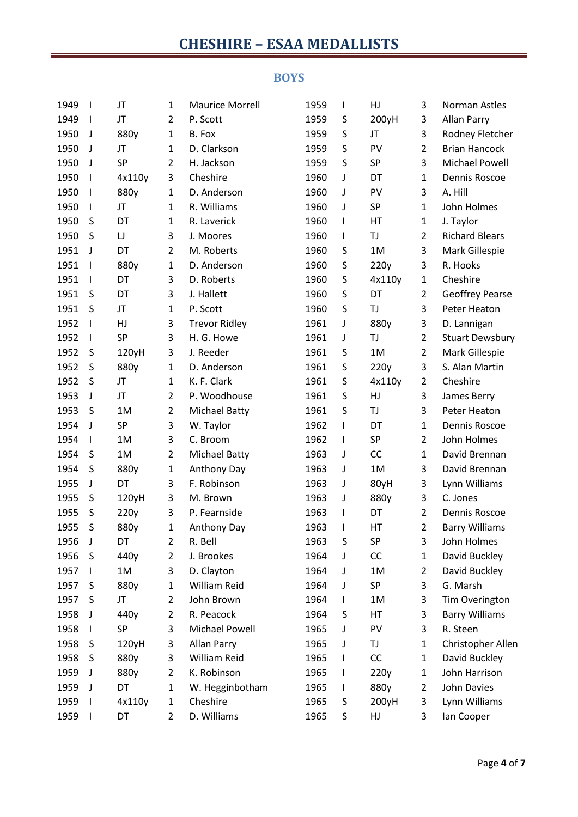#### **BOYS**

| 1949 | $\mathbf{I}$ | JT     | 1              | <b>Maurice Morrell</b> | 1959 | $\mathsf{l}$ | HJ     | 3              | Norman Astles          |
|------|--------------|--------|----------------|------------------------|------|--------------|--------|----------------|------------------------|
| 1949 | $\mathbf{I}$ | JT     | 2              | P. Scott               | 1959 | S            | 200yH  | 3              | <b>Allan Parry</b>     |
| 1950 | J            | 880y   | $\mathbf{1}$   | B. Fox                 | 1959 | S            | JT     | 3              | Rodney Fletcher        |
| 1950 | J            | JT     | $\mathbf{1}$   | D. Clarkson            | 1959 | S            | PV     | $\overline{2}$ | <b>Brian Hancock</b>   |
| 1950 | J            | SP     | $\overline{2}$ | H. Jackson             | 1959 | S            | SP     | 3              | <b>Michael Powell</b>  |
| 1950 | $\mathbf{I}$ | 4x110y | 3              | Cheshire               | 1960 | J            | DT     | $\mathbf{1}$   | Dennis Roscoe          |
| 1950 | $\mathbf{I}$ | 880y   | $\mathbf{1}$   | D. Anderson            | 1960 | J            | PV     | 3              | A. Hill                |
| 1950 | $\mathbf{I}$ | JT     | 1              | R. Williams            | 1960 | J            | SP     | $\mathbf{1}$   | John Holmes            |
| 1950 | S            | DT     | $\mathbf{1}$   | R. Laverick            | 1960 | $\mathsf{l}$ | HT     | $\mathbf{1}$   | J. Taylor              |
| 1950 | S            | IJ     | 3              | J. Moores              | 1960 | $\mathsf{I}$ | TJ     | $\overline{2}$ | <b>Richard Blears</b>  |
| 1951 | J            | DT     | $\overline{2}$ | M. Roberts             | 1960 | S            | 1M     | 3              | Mark Gillespie         |
| 1951 | I            | 880y   | 1              | D. Anderson            | 1960 | S            | 220y   | 3              | R. Hooks               |
| 1951 | I            | DT     | 3              | D. Roberts             | 1960 | S            | 4x110y | $\mathbf{1}$   | Cheshire               |
| 1951 | S            | DT     | 3              | J. Hallett             | 1960 | S            | DT     | $\overline{2}$ | <b>Geoffrey Pearse</b> |
| 1951 | S            | JT     | $\mathbf{1}$   | P. Scott               | 1960 | S            | TJ     | 3              | Peter Heaton           |
| 1952 | $\mathbf{I}$ | HJ     | 3              | <b>Trevor Ridley</b>   | 1961 | J            | 880y   | 3              | D. Lannigan            |
| 1952 | I            | SP     | 3              | H. G. Howe             | 1961 | J            | TJ     | $\overline{2}$ | <b>Stuart Dewsbury</b> |
| 1952 | S            | 120yH  | 3              | J. Reeder              | 1961 | S            | 1M     | $\overline{2}$ | Mark Gillespie         |
| 1952 | S            | 880y   | $\mathbf{1}$   | D. Anderson            | 1961 | S            | 220y   | 3              | S. Alan Martin         |
| 1952 | S            | JT     | $\mathbf{1}$   | K. F. Clark            | 1961 | S            | 4x110y | $\overline{2}$ | Cheshire               |
| 1953 | J            | JT     | $\overline{2}$ | P. Woodhouse           | 1961 | S            | HJ     | 3              | James Berry            |
| 1953 | S            | 1M     | $\overline{2}$ | <b>Michael Batty</b>   | 1961 | S            | TJ     | 3              | Peter Heaton           |
| 1954 | J            | SP     | 3              | W. Taylor              | 1962 | I            | DT     | $\mathbf{1}$   | Dennis Roscoe          |
| 1954 | $\mathsf{l}$ | 1M     | 3              | C. Broom               | 1962 | $\mathsf{l}$ | SP     | $\overline{2}$ | John Holmes            |
| 1954 | S            | 1M     | $\overline{2}$ | <b>Michael Batty</b>   | 1963 | J            | CC     | $\mathbf{1}$   | David Brennan          |
| 1954 | S            | 880y   | $\mathbf{1}$   | Anthony Day            | 1963 | J            | 1M     | 3              | David Brennan          |
| 1955 | J            | DT     | 3              | F. Robinson            | 1963 | J            | 80yH   | 3              | Lynn Williams          |
| 1955 | S            | 120yH  | 3              | M. Brown               | 1963 | J            | 880y   | 3              | C. Jones               |
| 1955 | S            | 220y   | 3              | P. Fearnside           | 1963 | $\mathsf{l}$ | DT     | $\overline{2}$ | Dennis Roscoe          |
| 1955 | S            | 880y   | 1              | Anthony Day            | 1963 | I            | HT     | $\overline{2}$ | <b>Barry Williams</b>  |
| 1956 | J            | DT     | $\overline{2}$ | R. Bell                | 1963 | S            | SP     | 3              | John Holmes            |
| 1956 | S            | 440y   | $\overline{2}$ | J. Brookes             | 1964 | J            | CC     | $\mathbf{1}$   | David Buckley          |
| 1957 | $\mathbf{I}$ | 1M     | 3              | D. Clayton             | 1964 | J            | 1M     | $\overline{2}$ | David Buckley          |
| 1957 | S            | 880y   | 1              | William Reid           | 1964 | J            | SP     | 3              | G. Marsh               |
| 1957 | S            | JT     | $\overline{2}$ | John Brown             | 1964 | $\mathbf{I}$ | 1M     | 3              | Tim Overington         |
| 1958 | J            | 440y   | 2              | R. Peacock             | 1964 | S            | HT     | 3              | <b>Barry Williams</b>  |
| 1958 | L            | SP     | 3              | Michael Powell         | 1965 | J            | PV     | 3              | R. Steen               |
| 1958 | S            | 120yH  | 3              | Allan Parry            | 1965 | J            | TJ     | $\mathbf{1}$   | Christopher Allen      |
| 1958 | S            | 880y   | 3              | William Reid           | 1965 | $\mathsf{l}$ | CC     | $\mathbf{1}$   | David Buckley          |
| 1959 | J            | 880y   | $\overline{2}$ | K. Robinson            | 1965 | I            | 220y   | $\mathbf{1}$   | John Harrison          |
| 1959 | J            | DT     | $\mathbf{1}$   | W. Hegginbotham        | 1965 | $\mathbf{I}$ | 880y   | $\overline{2}$ | John Davies            |
| 1959 |              | 4x110y | $\mathbf{1}$   | Cheshire               | 1965 | S            | 200yH  | 3              | Lynn Williams          |
| 1959 | I            | DT     | $\overline{2}$ | D. Williams            | 1965 | S            | HJ     | 3              | Ian Cooper             |
|      |              |        |                |                        |      |              |        |                |                        |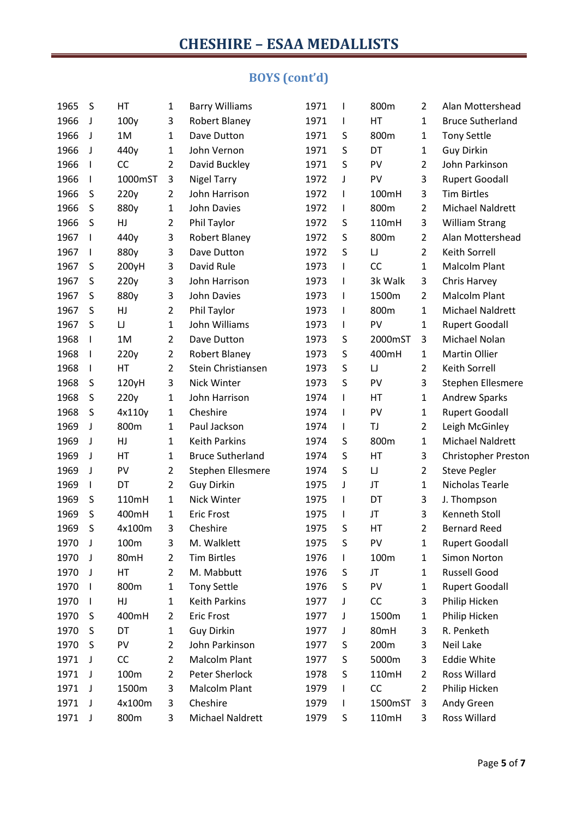### **BOYS (cont'd)**

| 1965 | S  | HT      | $\mathbf{1}$   | <b>Barry Williams</b>   | 1971 | $\mathsf I$  | 800m     | $\overline{2}$ | Alan Mottershead           |
|------|----|---------|----------------|-------------------------|------|--------------|----------|----------------|----------------------------|
| 1966 | J  | 100y    | 3              | <b>Robert Blaney</b>    | 1971 | I            | HT       | 1              | <b>Bruce Sutherland</b>    |
| 1966 | J  | 1M      | $\mathbf{1}$   | Dave Dutton             | 1971 | S            | 800m     | 1              | <b>Tony Settle</b>         |
| 1966 | J  | 440y    | $\mathbf{1}$   | John Vernon             | 1971 | S            | DT       | 1              | <b>Guy Dirkin</b>          |
| 1966 | I  | CC      | $\overline{2}$ | David Buckley           | 1971 | S            | PV       | $\overline{2}$ | John Parkinson             |
| 1966 |    | 1000mST | 3              | <b>Nigel Tarry</b>      | 1972 | J            | PV       | 3              | <b>Rupert Goodall</b>      |
| 1966 | S  | 220y    | $\overline{2}$ | John Harrison           | 1972 | $\mathsf I$  | 100mH    | 3              | <b>Tim Birtles</b>         |
| 1966 | S  | 880y    | $\mathbf{1}$   | <b>John Davies</b>      | 1972 | I            | 800m     | $\overline{2}$ | Michael Naldrett           |
| 1966 | S  | HJ      | $\overline{2}$ | Phil Taylor             | 1972 | S            | 110mH    | 3              | <b>William Strang</b>      |
| 1967 |    | 440y    | 3              | <b>Robert Blaney</b>    | 1972 | S            | 800m     | $\overline{2}$ | Alan Mottershead           |
| 1967 | I  | 880y    | 3              | Dave Dutton             | 1972 | S            | $\sqcup$ | $\overline{2}$ | Keith Sorrell              |
| 1967 | S  | 200yH   | 3              | David Rule              | 1973 | I            | CC       | 1              | <b>Malcolm Plant</b>       |
| 1967 | S  | 220y    | 3              | John Harrison           | 1973 | I            | 3k Walk  | 3              | Chris Harvey               |
| 1967 | S  | 880y    | 3              | John Davies             | 1973 | I            | 1500m    | $\overline{2}$ | <b>Malcolm Plant</b>       |
| 1967 | S  | HJ      | $\overline{2}$ | Phil Taylor             | 1973 | I            | 800m     | 1              | Michael Naldrett           |
| 1967 | S  | $\cup$  | $\mathbf{1}$   | John Williams           | 1973 | I            | PV       | 1              | <b>Rupert Goodall</b>      |
| 1968 | I  | 1M      | $\overline{2}$ | Dave Dutton             | 1973 | S            | 2000mST  | 3              | Michael Nolan              |
| 1968 | I  | 220y    | $\overline{2}$ | <b>Robert Blaney</b>    | 1973 | S            | 400mH    | $\mathbf 1$    | Martin Ollier              |
| 1968 | I  | HT      | $\overline{2}$ | Stein Christiansen      | 1973 | S            | $\sqcup$ | $\overline{2}$ | <b>Keith Sorrell</b>       |
| 1968 | S  | 120yH   | 3              | Nick Winter             | 1973 | S            | PV       | 3              | Stephen Ellesmere          |
| 1968 | S  | 220y    | $\mathbf 1$    | John Harrison           | 1974 | I            | HT       | 1              | <b>Andrew Sparks</b>       |
| 1968 | S  | 4x110y  | $\mathbf{1}$   | Cheshire                | 1974 | I            | PV       | 1              | <b>Rupert Goodall</b>      |
| 1969 | J  | 800m    | $\mathbf 1$    | Paul Jackson            | 1974 | I            | TJ       | $\overline{2}$ | Leigh McGinley             |
| 1969 | J  | HJ      | $\mathbf{1}$   | <b>Keith Parkins</b>    | 1974 | S            | 800m     | 1              | Michael Naldrett           |
| 1969 | J  | HT      | $\mathbf{1}$   | <b>Bruce Sutherland</b> | 1974 | S            | HT       | 3              | <b>Christopher Preston</b> |
| 1969 | J  | PV      | $\overline{2}$ | Stephen Ellesmere       | 1974 | S            | IJ       | $\overline{2}$ | <b>Steve Pegler</b>        |
| 1969 | J. | DT      | $\overline{2}$ | Guy Dirkin              | 1975 | J            | JT       | $\mathbf 1$    | Nicholas Tearle            |
| 1969 | S  | 110mH   | $\mathbf{1}$   | Nick Winter             | 1975 | I            | DT       | 3              | J. Thompson                |
| 1969 | S  | 400mH   | $\mathbf{1}$   | <b>Eric Frost</b>       | 1975 | $\mathbf{I}$ | JT       | 3              | Kenneth Stoll              |
| 1969 | S  | 4x100m  | 3              | Cheshire                | 1975 | S            | HT       | $\overline{2}$ | <b>Bernard Reed</b>        |
| 1970 | J  | 100m    | 3              | M. Walklett             | 1975 | S            | PV       | 1              | <b>Rupert Goodall</b>      |
| 1970 | J  | 80mH    | 2              | <b>Tim Birtles</b>      | 1976 |              | 100m     | 1              | Simon Norton               |
| 1970 | J  | НT      | $\overline{2}$ | M. Mabbutt              | 1976 | S            | JT       | 1              | Russell Good               |
| 1970 |    | 800m    | $\mathbf 1$    | <b>Tony Settle</b>      | 1976 | S            | PV       | 1              | <b>Rupert Goodall</b>      |
| 1970 |    | HJ      | $\mathbf{1}$   | <b>Keith Parkins</b>    | 1977 | J            | CC       | 3              | Philip Hicken              |
| 1970 | S  | 400mH   | 2              | <b>Eric Frost</b>       | 1977 | J            | 1500m    | 1              | Philip Hicken              |
| 1970 | S  | DT      | $\mathbf{1}$   | Guy Dirkin              | 1977 | J            | 80mH     | 3              | R. Penketh                 |
| 1970 | S  | PV      | $\overline{2}$ | John Parkinson          | 1977 | S            | 200m     | 3              | Neil Lake                  |
| 1971 | J  | CC      | $\overline{2}$ | Malcolm Plant           | 1977 | S            | 5000m    | 3              | <b>Eddie White</b>         |
| 1971 | J  | 100m    | $\overline{2}$ | Peter Sherlock          | 1978 | S            | 110mH    | $\overline{2}$ | Ross Willard               |
| 1971 | J  | 1500m   | 3              | Malcolm Plant           | 1979 | I            | CC       | $\overline{2}$ | Philip Hicken              |
| 1971 | J  | 4x100m  | 3              | Cheshire                | 1979 | L            | 1500mST  | 3              | Andy Green                 |
| 1971 | J  | 800m    | 3              | Michael Naldrett        | 1979 | S            | 110mH    | 3              | Ross Willard               |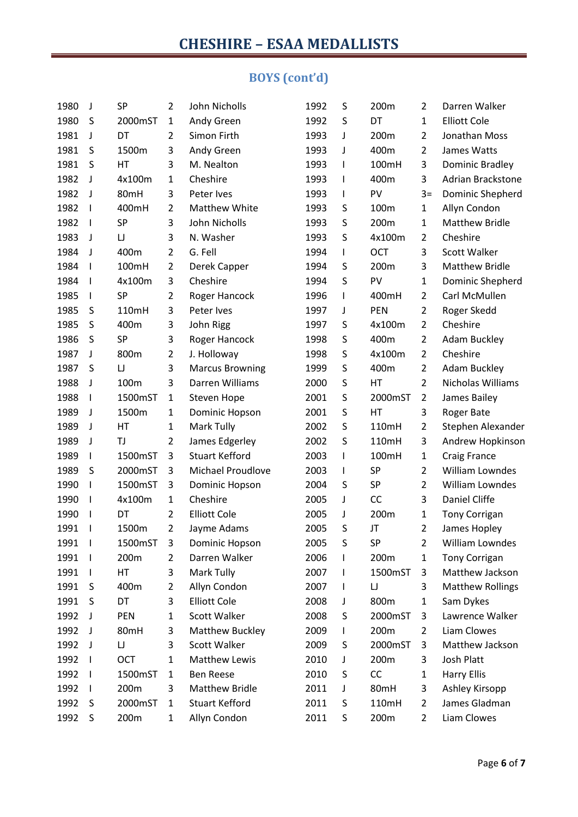### **BOYS (cont'd)**

| 1980 | J                        | SP        | $\overline{2}$ | John Nicholls            | 1992 | S            | 200m       | $\overline{2}$ | Darren Walker           |
|------|--------------------------|-----------|----------------|--------------------------|------|--------------|------------|----------------|-------------------------|
| 1980 | S                        | 2000mST   | $\mathbf{1}$   | Andy Green               | 1992 | S            | DT         | $\mathbf{1}$   | <b>Elliott Cole</b>     |
| 1981 | J                        | DT        | $\overline{2}$ | Simon Firth              | 1993 | J            | 200m       | $\overline{2}$ | Jonathan Moss           |
| 1981 | S                        | 1500m     | 3              | Andy Green               | 1993 | J            | 400m       | $\overline{2}$ | James Watts             |
| 1981 | S                        | HT        | 3              | M. Nealton               | 1993 | $\mathbf{I}$ | 100mH      | 3              | Dominic Bradley         |
| 1982 | J                        | 4x100m    | $\mathbf{1}$   | Cheshire                 | 1993 | $\mathsf{I}$ | 400m       | 3              | Adrian Brackstone       |
| 1982 | J                        | 80mH      | 3              | Peter Ives               | 1993 | I            | PV         | $3=$           | Dominic Shepherd        |
| 1982 | $\mathbf{I}$             | 400mH     | $\overline{2}$ | <b>Matthew White</b>     | 1993 | S            | 100m       | $\mathbf{1}$   | Allyn Condon            |
| 1982 | $\mathbf{I}$             | SP        | 3              | John Nicholls            | 1993 | S            | 200m       | $\mathbf{1}$   | <b>Matthew Bridle</b>   |
| 1983 | J                        | $\sqcup$  | 3              | N. Washer                | 1993 | S            | 4x100m     | $\overline{2}$ | Cheshire                |
| 1984 | J                        | 400m      | $\overline{2}$ | G. Fell                  | 1994 | L            | <b>OCT</b> | 3              | Scott Walker            |
| 1984 | $\mathsf{l}$             | 100mH     | $\overline{2}$ | Derek Capper             | 1994 | S            | 200m       | 3              | <b>Matthew Bridle</b>   |
| 1984 | $\mathbf{I}$             | 4x100m    | 3              | Cheshire                 | 1994 | S            | PV         | $\mathbf{1}$   | Dominic Shepherd        |
| 1985 |                          | <b>SP</b> | $\overline{2}$ | Roger Hancock            | 1996 | $\mathbf{I}$ | 400mH      | $\overline{2}$ | Carl McMullen           |
| 1985 | S                        | 110mH     | 3              | Peter Ives               | 1997 | J            | PEN        | $\overline{2}$ | Roger Skedd             |
| 1985 | $\sf S$                  | 400m      | 3              | John Rigg                | 1997 | S            | 4x100m     | $\overline{2}$ | Cheshire                |
| 1986 | S                        | SP        | 3              | Roger Hancock            | 1998 | S            | 400m       | $\overline{2}$ | Adam Buckley            |
| 1987 | J                        | 800m      | $\overline{2}$ | J. Holloway              | 1998 | S            | 4x100m     | $\overline{2}$ | Cheshire                |
| 1987 | S                        | $\sqcup$  | 3              | <b>Marcus Browning</b>   | 1999 | S            | 400m       | $\overline{2}$ | <b>Adam Buckley</b>     |
| 1988 | J                        | 100m      | 3              | Darren Williams          | 2000 | S            | HT         | $\overline{2}$ | Nicholas Williams       |
| 1988 | $\mathbf{I}$             | 1500mST   | $\mathbf{1}$   | Steven Hope              | 2001 | S            | 2000mST    | $\overline{2}$ | James Bailey            |
| 1989 | J                        | 1500m     | $\mathbf{1}$   | Dominic Hopson           | 2001 | S            | HT         | 3              | Roger Bate              |
| 1989 | J                        | HT        | $\mathbf{1}$   | Mark Tully               | 2002 | S            | 110mH      | $\overline{2}$ | Stephen Alexander       |
| 1989 | J                        | TJ        | $\overline{2}$ | James Edgerley           | 2002 | S            | 110mH      | 3              | Andrew Hopkinson        |
| 1989 | I                        | 1500mST   | 3              | <b>Stuart Kefford</b>    | 2003 | $\mathsf{I}$ | 100mH      | $\mathbf{1}$   | <b>Craig France</b>     |
| 1989 | S                        | 2000mST   | 3              | <b>Michael Proudlove</b> | 2003 | I            | SP         | $\overline{2}$ | William Lowndes         |
| 1990 | $\mathsf{l}$             | 1500mST   | 3              | Dominic Hopson           | 2004 | S            | SP         | $\overline{2}$ | William Lowndes         |
| 1990 | $\mathsf{l}$             | 4x100m    | $\mathbf{1}$   | Cheshire                 | 2005 | J            | CC         | 3              | Daniel Cliffe           |
| 1990 | $\mathbf{I}$             | DT        | $\overline{2}$ | <b>Elliott Cole</b>      | 2005 | J            | 200m       | $\mathbf{1}$   | Tony Corrigan           |
| 1991 | $\overline{\phantom{a}}$ | 1500m     | $\overline{2}$ | Jayme Adams              | 2005 | S            | JT         | $\overline{2}$ | James Hopley            |
| 1991 | $\mathbf{I}$             | 1500mST   | 3              | Dominic Hopson           | 2005 | S            | SP         | $\overline{2}$ | William Lowndes         |
| 1991 | H                        | 200m      | 2              | Darren Walker            | 2006 |              | 200m       | $\mathbf{1}$   | <b>Tony Corrigan</b>    |
| 1991 | $\mathbf{I}$             | HT        | 3              | Mark Tully               | 2007 | J.           | 1500mST    | 3              | Matthew Jackson         |
| 1991 | S                        | 400m      | 2              | Allyn Condon             | 2007 | $\mathsf{l}$ | IJ         | 3              | <b>Matthew Rollings</b> |
| 1991 | S                        | DT        | 3              | <b>Elliott Cole</b>      | 2008 | J            | 800m       | $\mathbf{1}$   | Sam Dykes               |
| 1992 | J                        | PEN       | 1              | Scott Walker             | 2008 | S            | 2000mST    | 3              | Lawrence Walker         |
| 1992 | J                        | 80mH      | 3              | Matthew Buckley          | 2009 | L            | 200m       | $\overline{2}$ | Liam Clowes             |
| 1992 | J                        | $\sqcup$  | 3              | Scott Walker             | 2009 | S            | 2000mST    | 3              | Matthew Jackson         |
| 1992 | $\mathbf{I}$             | OCT       | $\mathbf{1}$   | <b>Matthew Lewis</b>     | 2010 | J            | 200m       | 3              | Josh Platt              |
| 1992 | $\mathbf{I}$             | 1500mST   | $\mathbf{1}$   | <b>Ben Reese</b>         | 2010 | S            | CC         | $\mathbf{1}$   | <b>Harry Ellis</b>      |
| 1992 | $\mathbf{I}$             | 200m      | 3              | <b>Matthew Bridle</b>    | 2011 | J            | 80mH       | 3              | Ashley Kirsopp          |
| 1992 | S                        | 2000mST   | $\mathbf{1}$   | <b>Stuart Kefford</b>    | 2011 | S            | 110mH      | $\overline{2}$ | James Gladman           |
| 1992 | S                        | 200m      | $\mathbf{1}$   | Allyn Condon             | 2011 | S            | 200m       | $\overline{2}$ | Liam Clowes             |